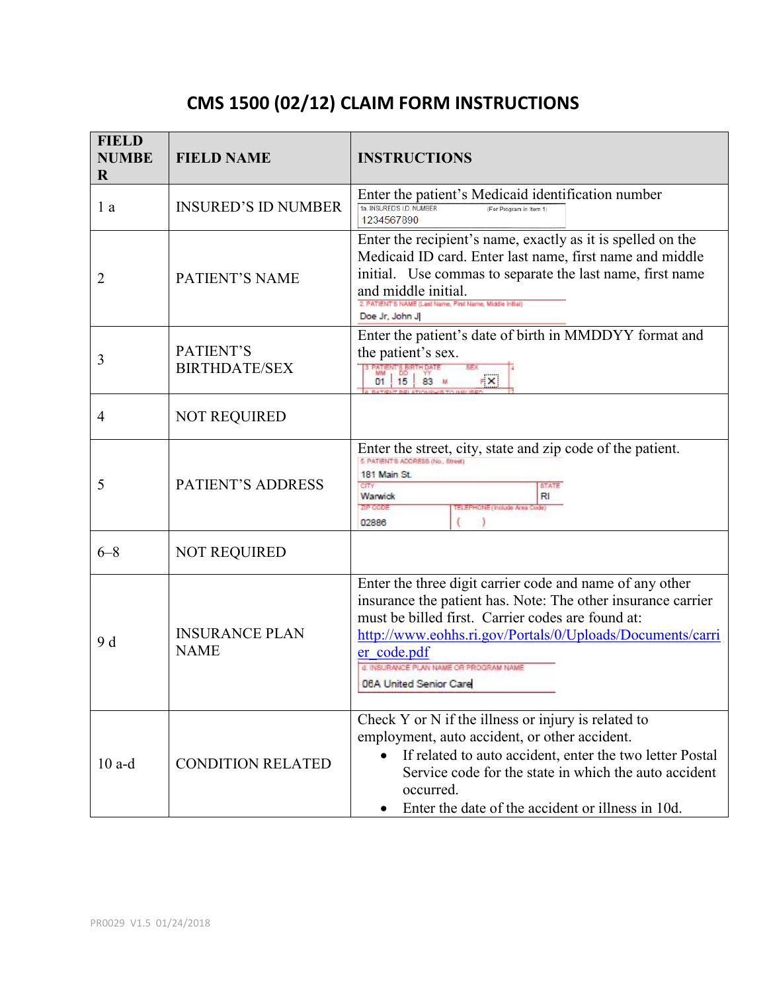## **CMS 1500 (02/12) CLAIM FORM INSTRUCTIONS**

| <b>FIELD</b><br><b>NUMBE</b><br>$\bf R$ | <b>FIELD NAME</b>                    | <b>INSTRUCTIONS</b>                                                                                                                                                                                                                                                                                                           |
|-----------------------------------------|--------------------------------------|-------------------------------------------------------------------------------------------------------------------------------------------------------------------------------------------------------------------------------------------------------------------------------------------------------------------------------|
| 1 a                                     | <b>INSURED'S ID NUMBER</b>           | Enter the patient's Medicaid identification number<br>ta INSURED'S I.D. NUMBER<br>(For Program in item 1)<br>1234567890                                                                                                                                                                                                       |
| 2                                       | PATIENT'S NAME                       | Enter the recipient's name, exactly as it is spelled on the<br>Medicaid ID card. Enter last name, first name and middle<br>initial. Use commas to separate the last name, first name<br>and middle initial.<br>2. PATIENT'S NAME (Last Name, First Name, Middle Initial)<br>Doe Jr, John J                                    |
| 3                                       | PATIENT'S<br><b>BIRTHDATE/SEX</b>    | Enter the patient's date of birth in MMDDYY format and<br>the patient's sex.<br><b>B. PATENTS BIRTHDA</b><br>$\mathbb{R}^{\times}$<br>83<br>01   15                                                                                                                                                                           |
| $\overline{4}$                          | <b>NOT REQUIRED</b>                  |                                                                                                                                                                                                                                                                                                                               |
| 5                                       | PATIENT'S ADDRESS                    | Enter the street, city, state and zip code of the patient.<br>5. PATIENT'S ADDRESS (No., Street)<br>181 Main St.<br>CITY<br><b>STATE</b><br>Warwick<br>RI<br><b>MEDIORE</b><br><b>HONE (Indiude Area</b><br>02886                                                                                                             |
| $6 - 8$                                 | <b>NOT REQUIRED</b>                  |                                                                                                                                                                                                                                                                                                                               |
| 9 d                                     | <b>INSURANCE PLAN</b><br><b>NAME</b> | Enter the three digit carrier code and name of any other<br>insurance the patient has. Note: The other insurance carrier<br>must be billed first. Carrier codes are found at:<br>http://www.eohhs.ri.gov/Portals/0/Uploads/Documents/carri<br>er code.pdf<br>d. INSURANCE PLAN NAME OR PROGRAM NAME<br>06A United Senior Care |
| $10$ a-d                                | <b>CONDITION RELATED</b>             | Check Y or N if the illness or injury is related to<br>employment, auto accident, or other accident.<br>If related to auto accident, enter the two letter Postal<br>$\bullet$<br>Service code for the state in which the auto accident<br>occurred.<br>Enter the date of the accident or illness in 10d.                      |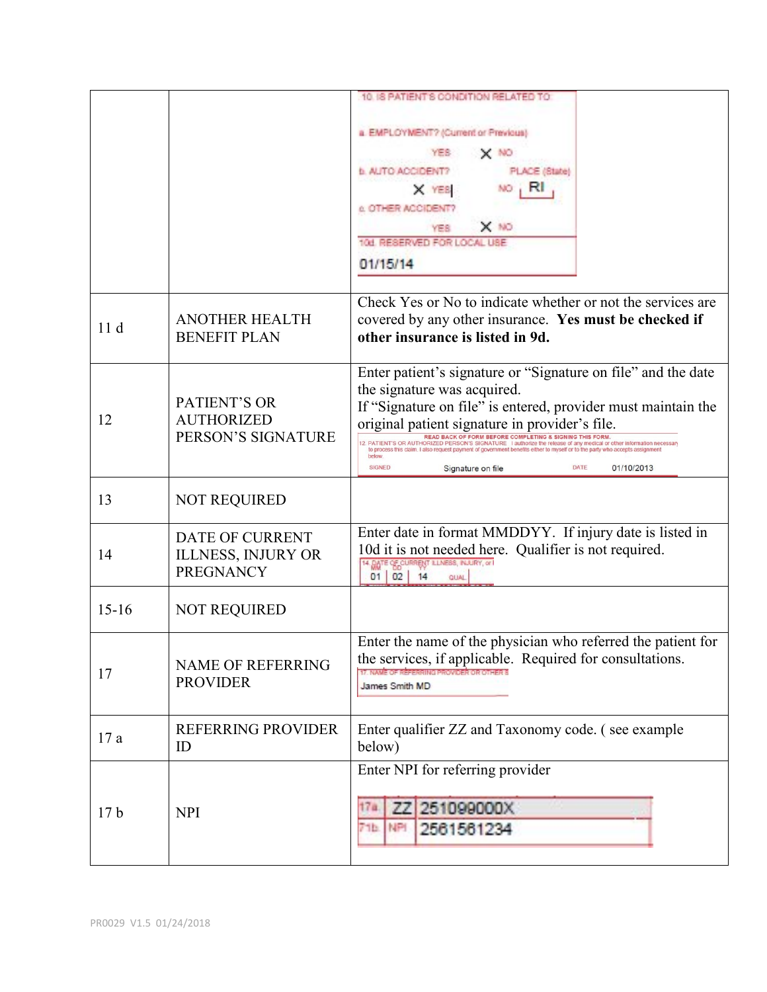|                 |                                                                         | 10. IS PATIENT'S CONDITION RELATED TO                                                                                                                                                                                                                                                                                                                                                                                                                                                                                                                                                                  |
|-----------------|-------------------------------------------------------------------------|--------------------------------------------------------------------------------------------------------------------------------------------------------------------------------------------------------------------------------------------------------------------------------------------------------------------------------------------------------------------------------------------------------------------------------------------------------------------------------------------------------------------------------------------------------------------------------------------------------|
|                 |                                                                         | a. EMPLOYMENT? (Current or Previous)<br>YES.<br>X NO<br><b>N. AUTO ACCIDENT?</b><br>PLACE (State)<br>RL<br>NO<br>X YES<br><b>C. OTHER ACCIDENTY</b><br>$X$ NO<br>YES.<br>108. RESERVED FOR LOCAL USE<br>01/15/14                                                                                                                                                                                                                                                                                                                                                                                       |
| 11d             | <b>ANOTHER HEALTH</b><br><b>BENEFIT PLAN</b>                            | Check Yes or No to indicate whether or not the services are<br>covered by any other insurance. Yes must be checked if<br>other insurance is listed in 9d.                                                                                                                                                                                                                                                                                                                                                                                                                                              |
| 12              | PATIENT'S OR<br><b>AUTHORIZED</b><br>PERSON'S SIGNATURE                 | Enter patient's signature or "Signature on file" and the date<br>the signature was acquired.<br>If "Signature on file" is entered, provider must maintain the<br>original patient signature in provider's file.<br>READ BACK OF FORM BEFORE COMPLETING & SIGNING THIS FORM<br>2. PATIENT'S OR AUTHORIZED PERSON'S SIGNATURE I authorize the release of any medical or other information necessary<br>to process this claim. I also request payment of government benefits either to myself or to the party who accepts assignment<br>below<br><b>SIGNED</b><br>DATE<br>01/10/2013<br>Signature on file |
| 13              | <b>NOT REQUIRED</b>                                                     |                                                                                                                                                                                                                                                                                                                                                                                                                                                                                                                                                                                                        |
| 14              | <b>DATE OF CURRENT</b><br><b>ILLNESS, INJURY OR</b><br><b>PREGNANCY</b> | Enter date in format MMDDYY. If injury date is listed in<br>10d it is not needed here. Qualifier is not required.<br>14. DATE OF CURRENT ILLNESS, INJURY, or I<br>01<br>02<br>14<br>QUAL                                                                                                                                                                                                                                                                                                                                                                                                               |
| $15-16$         | <b>NOT REQUIRED</b>                                                     |                                                                                                                                                                                                                                                                                                                                                                                                                                                                                                                                                                                                        |
| 17              | <b>NAME OF REFERRING</b><br><b>PROVIDER</b>                             | Enter the name of the physician who referred the patient for<br>the services, if applicable. Required for consultations.<br>James Smith MD                                                                                                                                                                                                                                                                                                                                                                                                                                                             |
| 17a             | <b>REFERRING PROVIDER</b><br>ID                                         | Enter qualifier ZZ and Taxonomy code. (see example<br>below)                                                                                                                                                                                                                                                                                                                                                                                                                                                                                                                                           |
| 17 <sub>b</sub> | <b>NPI</b>                                                              | Enter NPI for referring provider<br>251099000X<br>17a<br>77<br>71b. NPI<br>2561561234                                                                                                                                                                                                                                                                                                                                                                                                                                                                                                                  |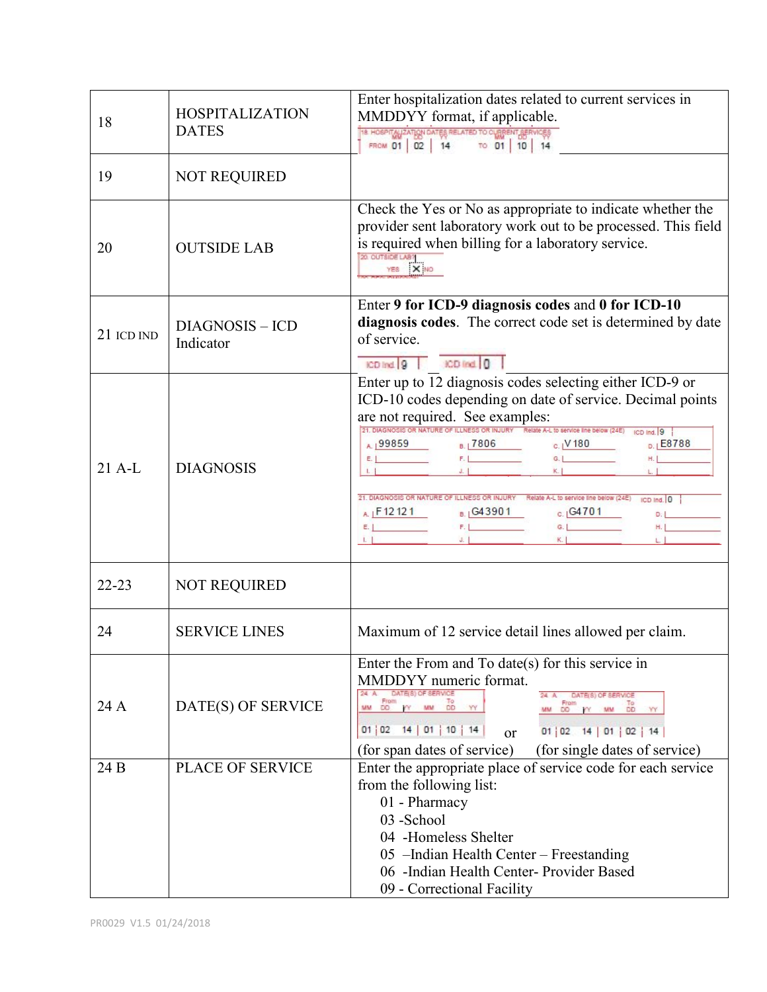| 18         | <b>HOSPITALIZATION</b><br><b>DATES</b> | Enter hospitalization dates related to current services in<br>MMDDYY format, if applicable.<br>THE HOSPITALIZATION DATES RELATED TO CURRENT SERVICES                                                                                                                                                                                                                                                                                                                                                                                           |
|------------|----------------------------------------|------------------------------------------------------------------------------------------------------------------------------------------------------------------------------------------------------------------------------------------------------------------------------------------------------------------------------------------------------------------------------------------------------------------------------------------------------------------------------------------------------------------------------------------------|
| 19         | <b>NOT REQUIRED</b>                    |                                                                                                                                                                                                                                                                                                                                                                                                                                                                                                                                                |
| 20         | <b>OUTSIDE LAB</b>                     | Check the Yes or No as appropriate to indicate whether the<br>provider sent laboratory work out to be processed. This field<br>is required when billing for a laboratory service.<br>20. OUTSIDE LABY<br>YES X NO                                                                                                                                                                                                                                                                                                                              |
| 21 ICD IND | <b>DIAGNOSIS - ICD</b><br>Indicator    | Enter 9 for ICD-9 diagnosis codes and 0 for ICD-10<br>diagnosis codes. The correct code set is determined by date<br>of service.<br>ICD Ind 9 CD Ind 0                                                                                                                                                                                                                                                                                                                                                                                         |
| $21$ A-L   | <b>DIAGNOSIS</b>                       | Enter up to 12 diagnosis codes selecting either ICD-9 or<br>ICD-10 codes depending on date of service. Decimal points<br>are not required. See examples:<br>21. DIAGNOSIS OR NATURE OF ILLNESS OR INJURY Relate A-L to service line below (24E) (CD lnd. 9<br>A 199859 B 17806 C 1 180<br>D. E8788<br>$H_1$<br>21. DIAGNOSIS OR NATURE OF ILLNESS OR INJURY Relate A-L to service line below (24E) (CD Ind. 0<br>A $1 - 12121$<br>$E = 1$<br>$E = 1$<br>$E = 1$<br>$E = 1$<br>$E = 1$<br>$E = 1$<br>$E = 1$<br>$E = 1$<br>$E = 1$<br>H. London |
| $22 - 23$  | <b>NOT REQUIRED</b>                    |                                                                                                                                                                                                                                                                                                                                                                                                                                                                                                                                                |
| 24         | <b>SERVICE LINES</b>                   | Maximum of 12 service detail lines allowed per claim.                                                                                                                                                                                                                                                                                                                                                                                                                                                                                          |
| 24 A       | DATE(S) OF SERVICE                     | Enter the From and To date(s) for this service in<br>MMDDYY numeric format.<br>DATE(8) OF SERVICE<br>$24$ A<br>DATE(8) OF SERVICE<br>From y MM DD YY<br>MM DD PY MM DD YY<br>MM<br>$01 \mid 02 \mid 14 \mid 01 \mid 10 \mid 14$<br>01   02 14   01   02   14<br><sub>or</sub><br>(for span dates of service)<br>(for single dates of service)                                                                                                                                                                                                  |
| 24 B       | PLACE OF SERVICE                       | Enter the appropriate place of service code for each service<br>from the following list:<br>01 - Pharmacy<br>03 - School<br>04 -Homeless Shelter<br>05 - Indian Health Center - Freestanding<br>06 -Indian Health Center- Provider Based<br>09 - Correctional Facility                                                                                                                                                                                                                                                                         |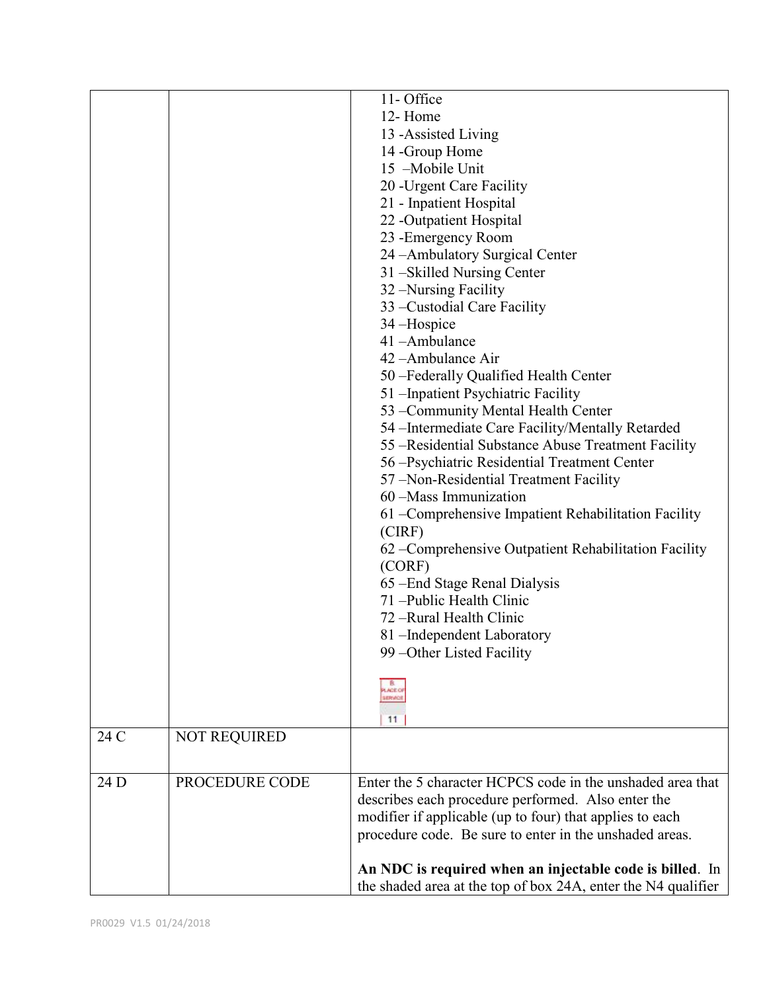|      |                     | 11-Office                                                     |
|------|---------------------|---------------------------------------------------------------|
|      |                     | 12-Home                                                       |
|      |                     | 13 - Assisted Living                                          |
|      |                     | 14 - Group Home                                               |
|      |                     | 15 -Mobile Unit                                               |
|      |                     | 20 - Urgent Care Facility                                     |
|      |                     | 21 - Inpatient Hospital                                       |
|      |                     | 22 -Outpatient Hospital                                       |
|      |                     | 23 - Emergency Room                                           |
|      |                     | 24 - Ambulatory Surgical Center                               |
|      |                     | 31 – Skilled Nursing Center                                   |
|      |                     | 32 – Nursing Facility                                         |
|      |                     | 33 – Custodial Care Facility                                  |
|      |                     | 34 – Hospice                                                  |
|      |                     | 41-Ambulance                                                  |
|      |                     | 42 - Ambulance Air                                            |
|      |                     | 50 -Federally Qualified Health Center                         |
|      |                     | 51 – Inpatient Psychiatric Facility                           |
|      |                     | 53 - Community Mental Health Center                           |
|      |                     | 54 – Intermediate Care Facility/Mentally Retarded             |
|      |                     | 55 - Residential Substance Abuse Treatment Facility           |
|      |                     | 56 - Psychiatric Residential Treatment Center                 |
|      |                     | 57 - Non-Residential Treatment Facility                       |
|      |                     | 60 - Mass Immunization                                        |
|      |                     | 61 – Comprehensive Impatient Rehabilitation Facility          |
|      |                     | (CIRF)                                                        |
|      |                     | 62 – Comprehensive Outpatient Rehabilitation Facility         |
|      |                     | (CORF)                                                        |
|      |                     | 65 – End Stage Renal Dialysis                                 |
|      |                     | 71 - Public Health Clinic                                     |
|      |                     | 72 - Rural Health Clinic                                      |
|      |                     | 81 –Independent Laboratory                                    |
|      |                     | 99 - Other Listed Facility                                    |
|      |                     |                                                               |
|      |                     | LACEO<br><b>IERVICI</b>                                       |
|      |                     |                                                               |
|      |                     | 11                                                            |
| 24 C | <b>NOT REQUIRED</b> |                                                               |
| 24 D | PROCEDURE CODE      | Enter the 5 character HCPCS code in the unshaded area that    |
|      |                     | describes each procedure performed. Also enter the            |
|      |                     | modifier if applicable (up to four) that applies to each      |
|      |                     | procedure code. Be sure to enter in the unshaded areas.       |
|      |                     |                                                               |
|      |                     | An NDC is required when an injectable code is billed. In      |
|      |                     | the shaded area at the top of box 24A, enter the N4 qualifier |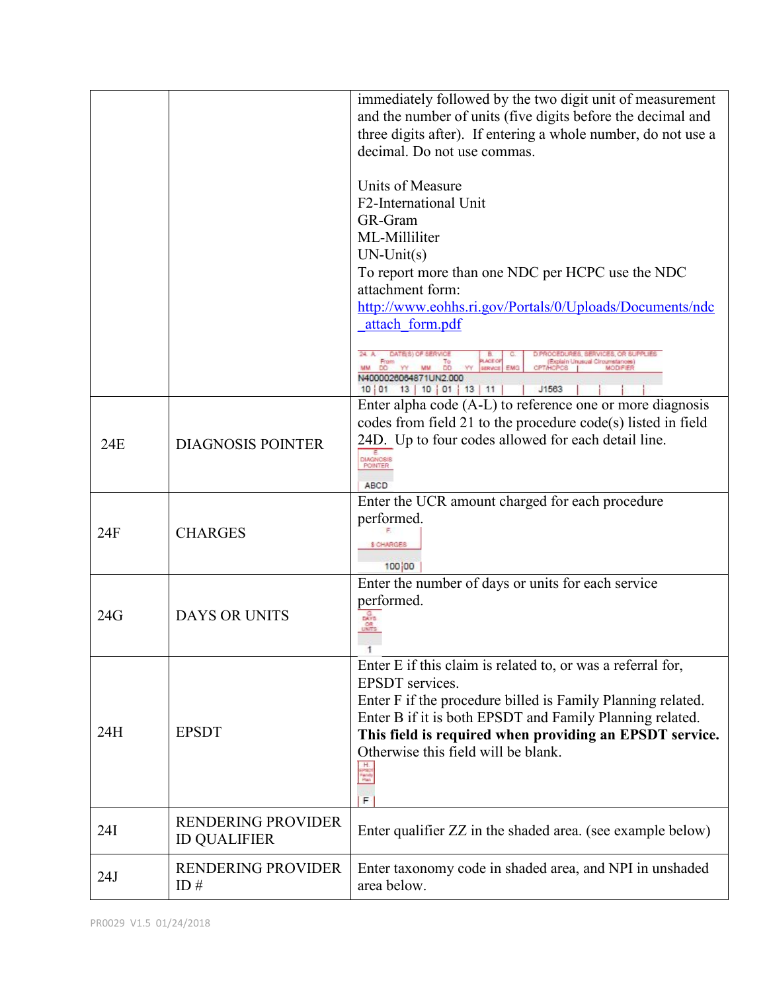|     |                                                  | immediately followed by the two digit unit of measurement<br>and the number of units (five digits before the decimal and<br>three digits after). If entering a whole number, do not use a<br>decimal. Do not use commas.                                                                                                     |
|-----|--------------------------------------------------|------------------------------------------------------------------------------------------------------------------------------------------------------------------------------------------------------------------------------------------------------------------------------------------------------------------------------|
|     |                                                  | Units of Measure<br>F2-International Unit<br>GR-Gram<br>ML-Milliliter<br>$UN-Unit(s)$<br>To report more than one NDC per HCPC use the NDC<br>attachment form:<br>http://www.eohhs.ri.gov/Portals/0/Uploads/Documents/ndc<br>attach form.pdf                                                                                  |
|     |                                                  | <b>LACE O</b><br>EMG<br><b>SERVICE</b><br>J1563<br>10 01 13 10 01 13 11                                                                                                                                                                                                                                                      |
| 24E | <b>DIAGNOSIS POINTER</b>                         | Enter alpha code (A-L) to reference one or more diagnosis<br>codes from field 21 to the procedure code(s) listed in field<br>24D. Up to four codes allowed for each detail line.<br>DIAGNOS<br><b>POINTER</b><br>ABCD                                                                                                        |
| 24F | <b>CHARGES</b>                                   | Enter the UCR amount charged for each procedure<br>performed.<br><b>SICHARGES</b><br>100 00                                                                                                                                                                                                                                  |
| 24G | <b>DAYS OR UNITS</b>                             | Enter the number of days or units for each service<br>performed.<br>$\frac{G}{DAVB}$<br><b>OR</b>                                                                                                                                                                                                                            |
| 24H | <b>EPSDT</b>                                     | Enter E if this claim is related to, or was a referral for,<br><b>EPSDT</b> services.<br>Enter F if the procedure billed is Family Planning related.<br>Enter B if it is both EPSDT and Family Planning related.<br>This field is required when providing an EPSDT service.<br>Otherwise this field will be blank.<br>÷<br>F |
| 24I | <b>RENDERING PROVIDER</b><br><b>ID QUALIFIER</b> | Enter qualifier ZZ in the shaded area. (see example below)                                                                                                                                                                                                                                                                   |
| 24J | <b>RENDERING PROVIDER</b><br>ID $#$              | Enter taxonomy code in shaded area, and NPI in unshaded<br>area below.                                                                                                                                                                                                                                                       |